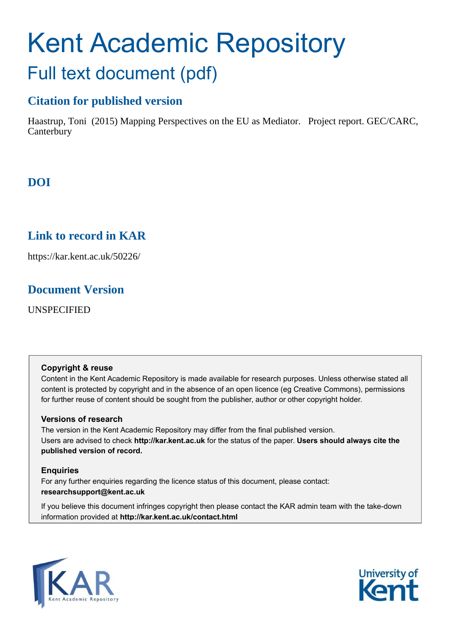# Kent Academic Repository Full text document (pdf)

# **Citation for published version**

Haastrup, Toni (2015) Mapping Perspectives on the EU as Mediator. Project report. GEC/CARC, **Canterbury** 

# **DOI**

# **Link to record in KAR**

https://kar.kent.ac.uk/50226/

## **Document Version**

UNSPECIFIED

## **Copyright & reuse**

Content in the Kent Academic Repository is made available for research purposes. Unless otherwise stated all content is protected by copyright and in the absence of an open licence (eg Creative Commons), permissions for further reuse of content should be sought from the publisher, author or other copyright holder.

## **Versions of research**

The version in the Kent Academic Repository may differ from the final published version. Users are advised to check **http://kar.kent.ac.uk** for the status of the paper. **Users should always cite the published version of record.**

## **Enquiries**

For any further enquiries regarding the licence status of this document, please contact: **researchsupport@kent.ac.uk**

If you believe this document infringes copyright then please contact the KAR admin team with the take-down information provided at **http://kar.kent.ac.uk/contact.html**



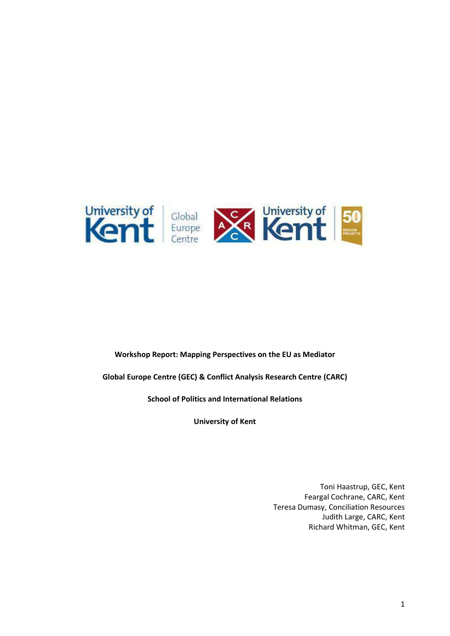

#### **Workshop Report: Mapping Perspectives on the EU as Mediator**

**Global Europe Centre (GEC) & Conflict Analysis Research Centre (CARC)** 

**School of Politics and International Relations** 

**University of Kent** 

Toni Haastrup, GEC, Kent Feargal Cochrane, CARC, Kent Teresa Dumasy, Conciliation Resources Judith Large, CARC, Kent Richard Whitman, GEC, Kent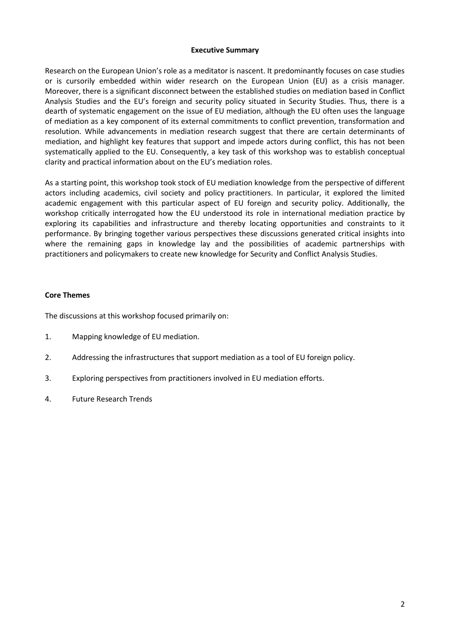#### **Executive Summary**

Research on the European Union's role as a meditator is nascent. It predominantly focuses on case studies or is cursorily embedded within wider research on the European Union (EU) as a crisis manager. Moreover, there is a significant disconnect between the established studies on mediation based in Conflict Analysis Studies and the EU's foreign and security policy situated in Security Studies. Thus, there is a dearth of systematic engagement on the issue of EU mediation, although the EU often uses the language of mediation as a key component of its external commitments to conflict prevention, transformation and resolution. While advancements in mediation research suggest that there are certain determinants of mediation, and highlight key features that support and impede actors during conflict, this has not been systematically applied to the EU. Consequently, a key task of this workshop was to establish conceptual clarity and practical information about on the EU's mediation roles.

As a starting point, this workshop took stock of EU mediation knowledge from the perspective of different actors including academics, civil society and policy practitioners. In particular, it explored the limited academic engagement with this particular aspect of EU foreign and security policy. Additionally, the workshop critically interrogated how the EU understood its role in international mediation practice by exploring its capabilities and infrastructure and thereby locating opportunities and constraints to it performance. By bringing together various perspectives these discussions generated critical insights into where the remaining gaps in knowledge lay and the possibilities of academic partnerships with practitioners and policymakers to create new knowledge for Security and Conflict Analysis Studies.

#### **Core Themes**

The discussions at this workshop focused primarily on:

- 1. Mapping knowledge of EU mediation.
- 2. Addressing the infrastructures that support mediation as a tool of EU foreign policy.
- 3. Exploring perspectives from practitioners involved in EU mediation efforts.
- 4. Future Research Trends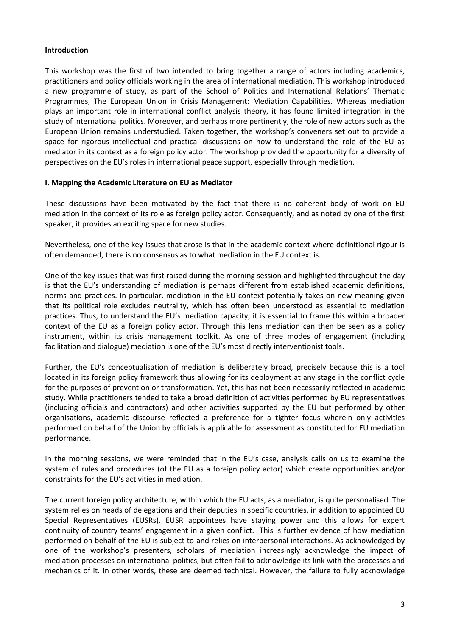#### **Introduction**

This workshop was the first of two intended to bring together a range of actors including academics, practitioners and policy officials working in the area of international mediation. This workshop introduced a new programme of study, as part of the School of Politics and International Relations' Thematic Programmes, The European Union in Crisis Management: Mediation Capabilities. Whereas mediation plays an important role in international conflict analysis theory, it has found limited integration in the study of international politics. Moreover, and perhaps more pertinently, the role of new actors such as the European Union remains understudied. Taken together, the workshop's conveners set out to provide a space for rigorous intellectual and practical discussions on how to understand the role of the EU as mediator in its context as a foreign policy actor. The workshop provided the opportunity for a diversity of perspectives on the EU's roles in international peace support, especially through mediation.

#### **I. Mapping the Academic Literature on EU as Mediator**

These discussions have been motivated by the fact that there is no coherent body of work on EU mediation in the context of its role as foreign policy actor. Consequently, and as noted by one of the first speaker, it provides an exciting space for new studies.

Nevertheless, one of the key issues that arose is that in the academic context where definitional rigour is often demanded, there is no consensus as to what mediation in the EU context is.

One of the key issues that was first raised during the morning session and highlighted throughout the day is that the EU's understanding of mediation is perhaps different from established academic definitions, norms and practices. In particular, mediation in the EU context potentially takes on new meaning given that its political role excludes neutrality, which has often been understood as essential to mediation practices. Thus, to understand the EU's mediation capacity, it is essential to frame this within a broader context of the EU as a foreign policy actor. Through this lens mediation can then be seen as a policy instrument, within its crisis management toolkit. As one of three modes of engagement (including facilitation and dialogue) mediation is one of the EU's most directly interventionist tools.

Further, the EU's conceptualisation of mediation is deliberately broad, precisely because this is a tool located in its foreign policy framework thus allowing for its deployment at any stage in the conflict cycle for the purposes of prevention or transformation. Yet, this has not been necessarily reflected in academic study. While practitioners tended to take a broad definition of activities performed by EU representatives (including officials and contractors) and other activities supported by the EU but performed by other organisations, academic discourse reflected a preference for a tighter focus wherein only activities performed on behalf of the Union by officials is applicable for assessment as constituted for EU mediation performance.

In the morning sessions, we were reminded that in the EU's case, analysis calls on us to examine the system of rules and procedures (of the EU as a foreign policy actor) which create opportunities and/or constraints for the EU's activities in mediation.

The current foreign policy architecture, within which the EU acts, as a mediator, is quite personalised. The system relies on heads of delegations and their deputies in specific countries, in addition to appointed EU Special Representatives (EUSRs). EUSR appointees have staying power and this allows for expert continuity of country teams' engagement in a given conflict. This is further evidence of how mediation performed on behalf of the EU is subject to and relies on interpersonal interactions. As acknowledged by one of the workshop's presenters, scholars of mediation increasingly acknowledge the impact of mediation processes on international politics, but often fail to acknowledge its link with the processes and mechanics of it. In other words, these are deemed technical. However, the failure to fully acknowledge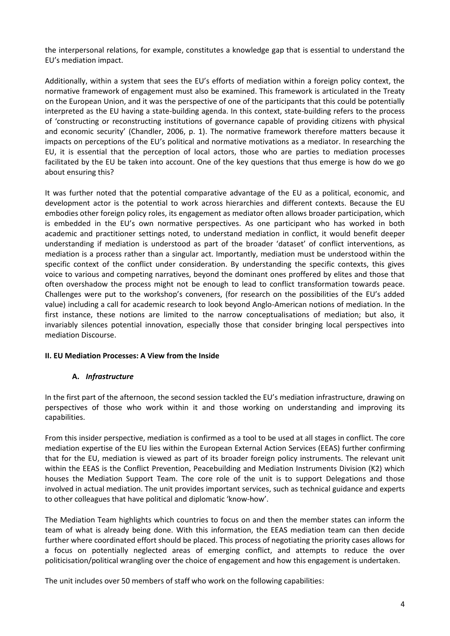the interpersonal relations, for example, constitutes a knowledge gap that is essential to understand the EU's mediation impact.

Additionally, within a system that sees the EU's efforts of mediation within a foreign policy context, the normative framework of engagement must also be examined. This framework is articulated in the Treaty on the European Union, and it was the perspective of one of the participants that this could be potentially interpreted as the EU having a state-building agenda. In this context, state-building refers to the process of 'constructing or reconstructing institutions of governance capable of providing citizens with physical and economic security' (Chandler, 2006, p. 1). The normative framework therefore matters because it impacts on perceptions of the EU's political and normative motivations as a mediator. In researching the EU, it is essential that the perception of local actors, those who are parties to mediation processes facilitated by the EU be taken into account. One of the key questions that thus emerge is how do we go about ensuring this?

It was further noted that the potential comparative advantage of the EU as a political, economic, and development actor is the potential to work across hierarchies and different contexts. Because the EU embodies other foreign policy roles, its engagement as mediator often allows broader participation, which is embedded in the EU's own normative perspectives. As one participant who has worked in both academic and practitioner settings noted, to understand mediation in conflict, it would benefit deeper understanding if mediation is understood as part of the broader 'dataset' of conflict interventions, as mediation is a process rather than a singular act. Importantly, mediation must be understood within the specific context of the conflict under consideration. By understanding the specific contexts, this gives voice to various and competing narratives, beyond the dominant ones proffered by elites and those that often overshadow the process might not be enough to lead to conflict transformation towards peace. Challenges were put to the workshop's conveners, (for research on the possibilities of the EU's added value) including a call for academic research to look beyond Anglo-American notions of mediation. In the first instance, these notions are limited to the narrow conceptualisations of mediation; but also, it invariably silences potential innovation, especially those that consider bringing local perspectives into mediation Discourse.

#### **II. EU Mediation Processes: A View from the Inside**

#### **A.** *Infrastructure*

In the first part of the afternoon, the second session tackled the EU's mediation infrastructure, drawing on perspectives of those who work within it and those working on understanding and improving its capabilities.

From this insider perspective, mediation is confirmed as a tool to be used at all stages in conflict. The core mediation expertise of the EU lies within the European External Action Services (EEAS) further confirming that for the EU, mediation is viewed as part of its broader foreign policy instruments. The relevant unit within the EEAS is the Conflict Prevention, Peacebuilding and Mediation Instruments Division (K2) which houses the Mediation Support Team. The core role of the unit is to support Delegations and those involved in actual mediation. The unit provides important services, such as technical guidance and experts to other colleagues that have political and diplomatic 'know-how'.

The Mediation Team highlights which countries to focus on and then the member states can inform the team of what is already being done. With this information, the EEAS mediation team can then decide further where coordinated effort should be placed. This process of negotiating the priority cases allows for a focus on potentially neglected areas of emerging conflict, and attempts to reduce the over politicisation/political wrangling over the choice of engagement and how this engagement is undertaken.

The unit includes over 50 members of staff who work on the following capabilities: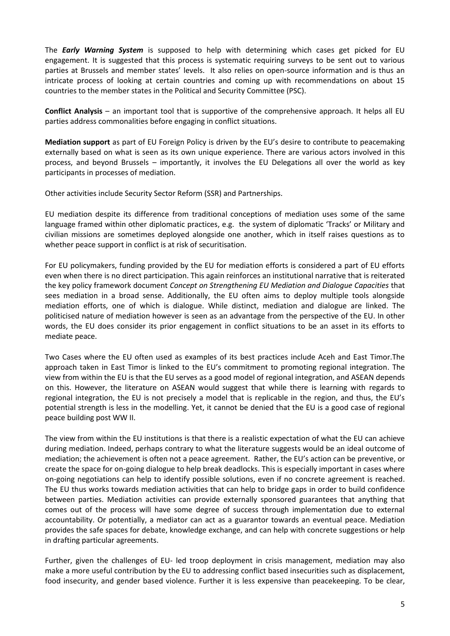The *Early Warning System* is supposed to help with determining which cases get picked for EU engagement. It is suggested that this process is systematic requiring surveys to be sent out to various parties at Brussels and member states' levels. It also relies on open-source information and is thus an intricate process of looking at certain countries and coming up with recommendations on about 15 countries to the member states in the Political and Security Committee (PSC).

**Conflict Analysis** – an important tool that is supportive of the comprehensive approach. It helps all EU parties address commonalities before engaging in conflict situations.

**Mediation support** as part of EU Foreign Policy is driven by the EU's desire to contribute to peacemaking externally based on what is seen as its own unique experience. There are various actors involved in this process, and beyond Brussels – importantly, it involves the EU Delegations all over the world as key participants in processes of mediation.

Other activities include Security Sector Reform (SSR) and Partnerships.

EU mediation despite its difference from traditional conceptions of mediation uses some of the same language framed within other diplomatic practices, e.g. the system of diplomatic 'Tracks' or Military and civilian missions are sometimes deployed alongside one another, which in itself raises questions as to whether peace support in conflict is at risk of securitisation.

For EU policymakers, funding provided by the EU for mediation efforts is considered a part of EU efforts even when there is no direct participation. This again reinforces an institutional narrative that is reiterated the key policy framework document *Concept on Strengthening EU Mediation and Dialogue Capacities* that sees mediation in a broad sense. Additionally, the EU often aims to deploy multiple tools alongside mediation efforts, one of which is dialogue. While distinct, mediation and dialogue are linked. The politicised nature of mediation however is seen as an advantage from the perspective of the EU. In other words, the EU does consider its prior engagement in conflict situations to be an asset in its efforts to mediate peace.

Two Cases where the EU often used as examples of its best practices include Aceh and East Timor.The approach taken in East Timor is linked to the EU's commitment to promoting regional integration. The view from within the EU is that the EU serves as a good model of regional integration, and ASEAN depends on this. However, the literature on ASEAN would suggest that while there is learning with regards to regional integration, the EU is not precisely a model that is replicable in the region, and thus, the EU's potential strength is less in the modelling. Yet, it cannot be denied that the EU is a good case of regional peace building post WW II.

The view from within the EU institutions is that there is a realistic expectation of what the EU can achieve during mediation. Indeed, perhaps contrary to what the literature suggests would be an ideal outcome of mediation; the achievement is often not a peace agreement. Rather, the EU's action can be preventive, or create the space for on-going dialogue to help break deadlocks. This is especially important in cases where on-going negotiations can help to identify possible solutions, even if no concrete agreement is reached. The EU thus works towards mediation activities that can help to bridge gaps in order to build confidence between parties. Mediation activities can provide externally sponsored guarantees that anything that comes out of the process will have some degree of success through implementation due to external accountability. Or potentially, a mediator can act as a guarantor towards an eventual peace. Mediation provides the safe spaces for debate, knowledge exchange, and can help with concrete suggestions or help in drafting particular agreements.

Further, given the challenges of EU- led troop deployment in crisis management, mediation may also make a more useful contribution by the EU to addressing conflict based insecurities such as displacement, food insecurity, and gender based violence. Further it is less expensive than peacekeeping. To be clear,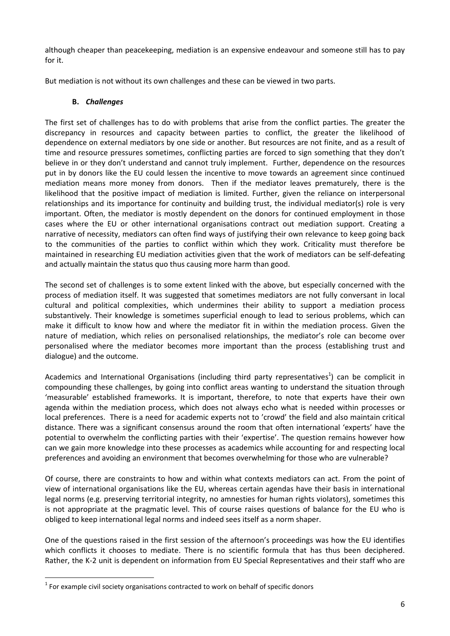although cheaper than peacekeeping, mediation is an expensive endeavour and someone still has to pay for it.

But mediation is not without its own challenges and these can be viewed in two parts.

#### **B.** *Challenges*

The first set of challenges has to do with problems that arise from the conflict parties. The greater the discrepancy in resources and capacity between parties to conflict, the greater the likelihood of dependence on external mediators by one side or another. But resources are not finite, and as a result of time and resource pressures sometimes, conflicting parties are forced to sign something that they don't believe in or they don't understand and cannot truly implement. Further, dependence on the resources put in by donors like the EU could lessen the incentive to move towards an agreement since continued mediation means more money from donors. Then if the mediator leaves prematurely, there is the likelihood that the positive impact of mediation is limited. Further, given the reliance on interpersonal relationships and its importance for continuity and building trust, the individual mediator(s) role is very important. Often, the mediator is mostly dependent on the donors for continued employment in those cases where the EU or other international organisations contract out mediation support. Creating a narrative of necessity, mediators can often find ways of justifying their own relevance to keep going back to the communities of the parties to conflict within which they work. Criticality must therefore be maintained in researching EU mediation activities given that the work of mediators can be self-defeating and actually maintain the status quo thus causing more harm than good.

The second set of challenges is to some extent linked with the above, but especially concerned with the process of mediation itself. It was suggested that sometimes mediators are not fully conversant in local cultural and political complexities, which undermines their ability to support a mediation process substantively. Their knowledge is sometimes superficial enough to lead to serious problems, which can make it difficult to know how and where the mediator fit in within the mediation process. Given the nature of mediation, which relies on personalised relationships, the mediator's role can become over personalised where the mediator becomes more important than the process (establishing trust and dialogue) and the outcome.

Academics and International Organisations (including third party representatives<sup>1</sup>) can be complicit in compounding these challenges, by going into conflict areas wanting to understand the situation through 'measurable' established frameworks. It is important, therefore, to note that experts have their own agenda within the mediation process, which does not always echo what is needed within processes or local preferences. There is a need for academic experts not to 'crowd' the field and also maintain critical distance. There was a significant consensus around the room that often international 'experts' have the potential to overwhelm the conflicting parties with their 'expertise'. The question remains however how can we gain more knowledge into these processes as academics while accounting for and respecting local preferences and avoiding an environment that becomes overwhelming for those who are vulnerable?

Of course, there are constraints to how and within what contexts mediators can act. From the point of view of international organisations like the EU, whereas certain agendas have their basis in international legal norms (e.g. preserving territorial integrity, no amnesties for human rights violators), sometimes this is not appropriate at the pragmatic level. This of course raises questions of balance for the EU who is obliged to keep international legal norms and indeed sees itself as a norm shaper.

One of the questions raised in the first session of the afternoon's proceedings was how the EU identifies which conflicts it chooses to mediate. There is no scientific formula that has thus been deciphered. Rather, the K-2 unit is dependent on information from EU Special Representatives and their staff who are

l

 $1$  For example civil society organisations contracted to work on behalf of specific donors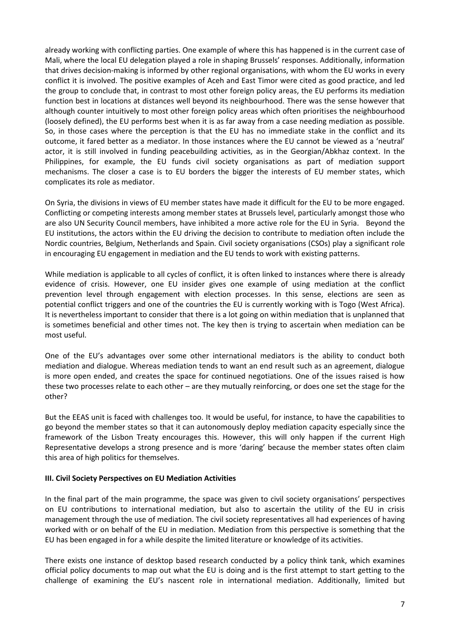already working with conflicting parties. One example of where this has happened is in the current case of Mali, where the local EU delegation played a role in shaping Brussels' responses. Additionally, information that drives decision-making is informed by other regional organisations, with whom the EU works in every conflict it is involved. The positive examples of Aceh and East Timor were cited as good practice, and led the group to conclude that, in contrast to most other foreign policy areas, the EU performs its mediation function best in locations at distances well beyond its neighbourhood. There was the sense however that although counter intuitively to most other foreign policy areas which often prioritises the neighbourhood (loosely defined), the EU performs best when it is as far away from a case needing mediation as possible. So, in those cases where the perception is that the EU has no immediate stake in the conflict and its outcome, it fared better as a mediator. In those instances where the EU cannot be viewed as a 'neutral' actor, it is still involved in funding peacebuilding activities, as in the Georgian/Abkhaz context. In the Philippines, for example, the EU funds civil society organisations as part of mediation support mechanisms. The closer a case is to EU borders the bigger the interests of EU member states, which complicates its role as mediator.

On Syria, the divisions in views of EU member states have made it difficult for the EU to be more engaged. Conflicting or competing interests among member states at Brussels level, particularly amongst those who are also UN Security Council members, have inhibited a more active role for the EU in Syria. Beyond the EU institutions, the actors within the EU driving the decision to contribute to mediation often include the Nordic countries, Belgium, Netherlands and Spain. Civil society organisations (CSOs) play a significant role in encouraging EU engagement in mediation and the EU tends to work with existing patterns.

While mediation is applicable to all cycles of conflict, it is often linked to instances where there is already evidence of crisis. However, one EU insider gives one example of using mediation at the conflict prevention level through engagement with election processes. In this sense, elections are seen as potential conflict triggers and one of the countries the EU is currently working with is Togo (West Africa). It is nevertheless important to consider that there is a lot going on within mediation that is unplanned that is sometimes beneficial and other times not. The key then is trying to ascertain when mediation can be most useful.

One of the EU's advantages over some other international mediators is the ability to conduct both mediation and dialogue. Whereas mediation tends to want an end result such as an agreement, dialogue is more open ended, and creates the space for continued negotiations. One of the issues raised is how these two processes relate to each other – are they mutually reinforcing, or does one set the stage for the other?

But the EEAS unit is faced with challenges too. It would be useful, for instance, to have the capabilities to go beyond the member states so that it can autonomously deploy mediation capacity especially since the framework of the Lisbon Treaty encourages this. However, this will only happen if the current High Representative develops a strong presence and is more 'daring' because the member states often claim this area of high politics for themselves.

#### **III. Civil Society Perspectives on EU Mediation Activities**

In the final part of the main programme, the space was given to civil society organisations' perspectives on EU contributions to international mediation, but also to ascertain the utility of the EU in crisis management through the use of mediation. The civil society representatives all had experiences of having worked with or on behalf of the EU in mediation. Mediation from this perspective is something that the EU has been engaged in for a while despite the limited literature or knowledge of its activities.

There exists one instance of desktop based research conducted by a policy think tank, which examines official policy documents to map out what the EU is doing and is the first attempt to start getting to the challenge of examining the EU's nascent role in international mediation. Additionally, limited but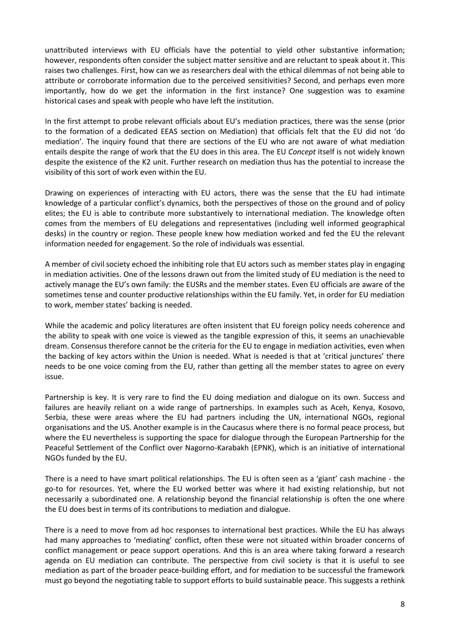unattributed interviews with EU officials have the potential to yield other substantive information; however, respondents often consider the subject matter sensitive and are reluctant to speak about it. This raises two challenges. First, how can we as researchers deal with the ethical dilemmas of not being able to attribute or corroborate information due to the perceived sensitivities? Second, and perhaps even more importantly, how do we get the information in the first instance? One suggestion was to examine historical cases and speak with people who have left the institution.

In the first attempt to probe relevant officials about EU's mediation practices, there was the sense (prior to the formation of a dedicated EEAS section on Mediation) that officials felt that the EU did not 'do mediation'. The inquiry found that there are sections of the EU who are not aware of what mediation entails despite the range of work that the EU does in this area. The EU *Concept* itself is not widely known despite the existence of the K2 unit. Further research on mediation thus has the potential to increase the visibility of this sort of work even within the EU.

Drawing on experiences of interacting with EU actors, there was the sense that the EU had intimate knowledge of a particular conflict's dynamics, both the perspectives of those on the ground and of policy elites; the EU is able to contribute more substantively to international mediation. The knowledge often comes from the members of EU delegations and representatives (including well informed geographical desks) in the country or region. These people knew how mediation worked and fed the EU the relevant information needed for engagement. So the role of individuals was essential.

A member of civil society echoed the inhibiting role that EU actors such as member states play in engaging in mediation activities. One of the lessons drawn out from the limited study of EU mediation is the need to actively manage the EU's own family: the EUSRs and the member states. Even EU officials are aware of the sometimes tense and counter productive relationships within the EU family. Yet, in order for EU mediation to work, member states' backing is needed.

While the academic and policy literatures are often insistent that EU foreign policy needs coherence and the ability to speak with one voice is viewed as the tangible expression of this, it seems an unachievable dream. Consensus therefore cannot be the criteria for the EU to engage in mediation activities, even when the backing of key actors within the Union is needed. What is needed is that at 'critical junctures' there needs to be one voice coming from the EU, rather than getting all the member states to agree on every issue.

Partnership is key. It is very rare to find the EU doing mediation and dialogue on its own. Success and failures are heavily reliant on a wide range of partnerships. In examples such as Aceh, Kenya, Kosovo, Serbia, these were areas where the EU had partners including the UN, international NGOs, regional organisations and the US. Another example is in the Caucasus where there is no formal peace process, but where the EU nevertheless is supporting the space for dialogue through the European Partnership for the Peaceful Settlement of the Conflict over Nagorno-Karabakh (EPNK), which is an initiative of international NGOs funded by the EU.

There is a need to have smart political relationships. The EU is often seen as a 'giant' cash machine - the go-to for resources. Yet, where the EU worked better was where it had existing relationship, but not necessarily a subordinated one. A relationship beyond the financial relationship is often the one where the EU does best in terms of its contributions to mediation and dialogue.

There is a need to move from ad hoc responses to international best practices. While the EU has always had many approaches to 'mediating' conflict, often these were not situated within broader concerns of conflict management or peace support operations. And this is an area where taking forward a research agenda on EU mediation can contribute. The perspective from civil society is that it is useful to see mediation as part of the broader peace-building effort, and for mediation to be successful the framework must go beyond the negotiating table to support efforts to build sustainable peace. This suggests a rethink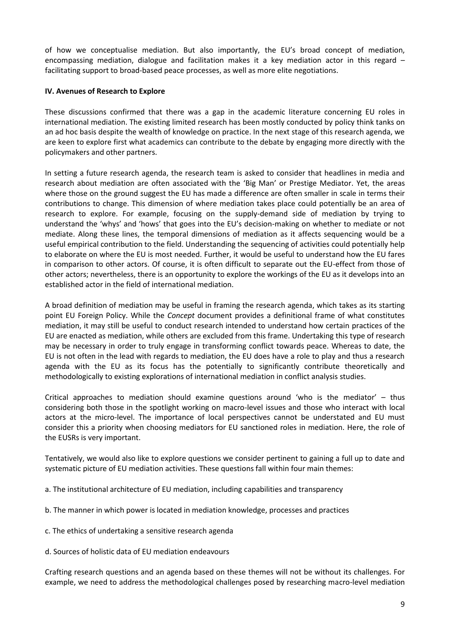of how we conceptualise mediation. But also importantly, the EU's broad concept of mediation, encompassing mediation, dialogue and facilitation makes it a key mediation actor in this regard  $$ facilitating support to broad-based peace processes, as well as more elite negotiations.

#### **IV. Avenues of Research to Explore**

These discussions confirmed that there was a gap in the academic literature concerning EU roles in international mediation. The existing limited research has been mostly conducted by policy think tanks on an ad hoc basis despite the wealth of knowledge on practice. In the next stage of this research agenda, we are keen to explore first what academics can contribute to the debate by engaging more directly with the policymakers and other partners.

In setting a future research agenda, the research team is asked to consider that headlines in media and research about mediation are often associated with the 'Big Man' or Prestige Mediator. Yet, the areas where those on the ground suggest the EU has made a difference are often smaller in scale in terms their contributions to change. This dimension of where mediation takes place could potentially be an area of research to explore. For example, focusing on the supply-demand side of mediation by trying to understand the 'whys' and 'hows' that goes into the EU's decision-making on whether to mediate or not mediate. Along these lines, the temporal dimensions of mediation as it affects sequencing would be a useful empirical contribution to the field. Understanding the sequencing of activities could potentially help to elaborate on where the EU is most needed. Further, it would be useful to understand how the EU fares in comparison to other actors. Of course, it is often difficult to separate out the EU-effect from those of other actors; nevertheless, there is an opportunity to explore the workings of the EU as it develops into an established actor in the field of international mediation.

A broad definition of mediation may be useful in framing the research agenda, which takes as its starting point EU Foreign Policy. While the *Concept* document provides a definitional frame of what constitutes mediation, it may still be useful to conduct research intended to understand how certain practices of the EU are enacted as mediation, while others are excluded from this frame. Undertaking this type of research may be necessary in order to truly engage in transforming conflict towards peace. Whereas to date, the EU is not often in the lead with regards to mediation, the EU does have a role to play and thus a research agenda with the EU as its focus has the potentially to significantly contribute theoretically and methodologically to existing explorations of international mediation in conflict analysis studies.

Critical approaches to mediation should examine questions around 'who is the mediator' – thus considering both those in the spotlight working on macro-level issues and those who interact with local actors at the micro-level. The importance of local perspectives cannot be understated and EU must consider this a priority when choosing mediators for EU sanctioned roles in mediation. Here, the role of the EUSRs is very important.

Tentatively, we would also like to explore questions we consider pertinent to gaining a full up to date and systematic picture of EU mediation activities. These questions fall within four main themes:

- a. The institutional architecture of EU mediation, including capabilities and transparency
- b. The manner in which power is located in mediation knowledge, processes and practices
- c. The ethics of undertaking a sensitive research agenda
- d. Sources of holistic data of EU mediation endeavours

Crafting research questions and an agenda based on these themes will not be without its challenges. For example, we need to address the methodological challenges posed by researching macro-level mediation